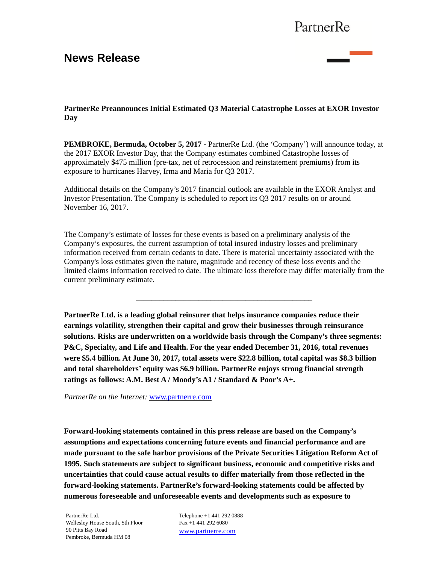## PartnerRe

## **News Release**



**PartnerRe Preannounces Initial Estimated Q3 Material Catastrophe Losses at EXOR Investor Day** 

**PEMBROKE, Bermuda, October 5, 2017 -** PartnerRe Ltd. (the 'Company') will announce today, at the 2017 EXOR Investor Day, that the Company estimates combined Catastrophe losses of approximately \$475 million (pre-tax, net of retrocession and reinstatement premiums) from its exposure to hurricanes Harvey, Irma and Maria for Q3 2017.

Additional details on the Company's 2017 financial outlook are available in the EXOR Analyst and Investor Presentation. The Company is scheduled to report its Q3 2017 results on or around November 16, 2017.

The Company's estimate of losses for these events is based on a preliminary analysis of the Company's exposures, the current assumption of total insured industry losses and preliminary information received from certain cedants to date. There is material uncertainty associated with the Company's loss estimates given the nature, magnitude and recency of these loss events and the limited claims information received to date. The ultimate loss therefore may differ materially from the current preliminary estimate.

**\_\_\_\_\_\_\_\_\_\_\_\_\_\_\_\_\_\_\_\_\_\_\_\_\_\_\_\_\_\_\_\_\_\_\_\_\_\_\_\_\_\_\_\_\_** 

**PartnerRe Ltd. is a leading global reinsurer that helps insurance companies reduce their earnings volatility, strengthen their capital and grow their businesses through reinsurance solutions. Risks are underwritten on a worldwide basis through the Company's three segments: P&C, Specialty, and Life and Health. For the year ended December 31, 2016, total revenues were \$5.4 billion. At June 30, 2017, total assets were \$22.8 billion, total capital was \$8.3 billion and total shareholders' equity was \$6.9 billion. PartnerRe enjoys strong financial strength ratings as follows: A.M. Best A / Moody's A1 / Standard & Poor's A+.** 

*PartnerRe on the Internet:* www.partnerre.com

**Forward-looking statements contained in this press release are based on the Company's assumptions and expectations concerning future events and financial performance and are made pursuant to the safe harbor provisions of the Private Securities Litigation Reform Act of 1995. Such statements are subject to significant business, economic and competitive risks and uncertainties that could cause actual results to differ materially from those reflected in the forward-looking statements. PartnerRe's forward-looking statements could be affected by numerous foreseeable and unforeseeable events and developments such as exposure to** 

PartnerRe Ltd. Wellesley House South, 5th Floor 90 Pitts Bay Road Pembroke, Bermuda HM 08

Telephone +1 441 292 0888 Fax +1 441 292 6080 www.partnerre.com